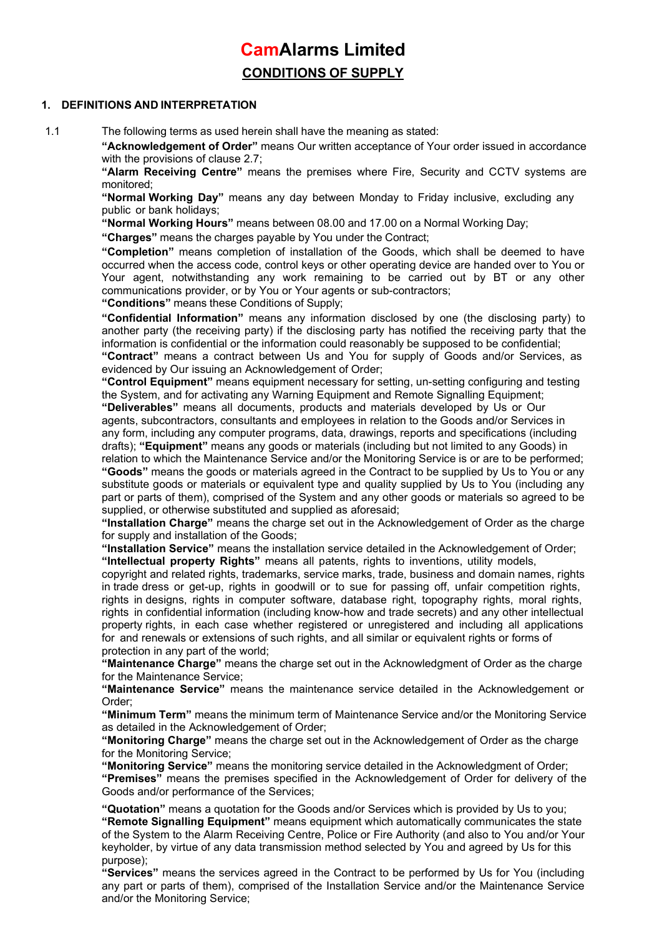# CamAlarms Limited CONDITIONS OF SUPPLY

## 1. DEFINITIONS AND INTERPRETATION

1.1 The following terms as used herein shall have the meaning as stated:

"Acknowledgement of Order" means Our written acceptance of Your order issued in accordance with the provisions of clause 2.7;

"Alarm Receiving Centre" means the premises where Fire, Security and CCTV systems are monitored;

"Normal Working Day" means any day between Monday to Friday inclusive, excluding any public or bank holidays;

"Normal Working Hours" means between 08.00 and 17.00 on a Normal Working Day;

"Charges" means the charges payable by You under the Contract;

"Completion" means completion of installation of the Goods, which shall be deemed to have occurred when the access code, control keys or other operating device are handed over to You or Your agent, notwithstanding any work remaining to be carried out by BT or any other communications provider, or by You or Your agents or sub-contractors;

"Conditions" means these Conditions of Supply;

"Confidential Information" means any information disclosed by one (the disclosing party) to another party (the receiving party) if the disclosing party has notified the receiving party that the information is confidential or the information could reasonably be supposed to be confidential;

"Contract" means a contract between Us and You for supply of Goods and/or Services, as evidenced by Our issuing an Acknowledgement of Order;

"Control Equipment" means equipment necessary for setting, un-setting configuring and testing the System, and for activating any Warning Equipment and Remote Signalling Equipment;

"Deliverables" means all documents, products and materials developed by Us or Our agents, subcontractors, consultants and employees in relation to the Goods and/or Services in any form, including any computer programs, data, drawings, reports and specifications (including drafts); "Equipment" means any goods or materials (including but not limited to any Goods) in

relation to which the Maintenance Service and/or the Monitoring Service is or are to be performed; "Goods" means the goods or materials agreed in the Contract to be supplied by Us to You or any substitute goods or materials or equivalent type and quality supplied by Us to You (including any part or parts of them), comprised of the System and any other goods or materials so agreed to be supplied, or otherwise substituted and supplied as aforesaid;

"Installation Charge" means the charge set out in the Acknowledgement of Order as the charge for supply and installation of the Goods;

"Installation Service" means the installation service detailed in the Acknowledgement of Order; "Intellectual property Rights" means all patents, rights to inventions, utility models,

copyright and related rights, trademarks, service marks, trade, business and domain names, rights in trade dress or get-up, rights in goodwill or to sue for passing off, unfair competition rights, rights in designs, rights in computer software, database right, topography rights, moral rights, rights in confidential information (including know-how and trade secrets) and any other intellectual property rights, in each case whether registered or unregistered and including all applications for and renewals or extensions of such rights, and all similar or equivalent rights or forms of protection in any part of the world;

"Maintenance Charge" means the charge set out in the Acknowledgment of Order as the charge for the Maintenance Service;

"Maintenance Service" means the maintenance service detailed in the Acknowledgement or Order;

"Minimum Term" means the minimum term of Maintenance Service and/or the Monitoring Service as detailed in the Acknowledgement of Order;

"Monitoring Charge" means the charge set out in the Acknowledgement of Order as the charge for the Monitoring Service;

"Monitoring Service" means the monitoring service detailed in the Acknowledgment of Order; "Premises" means the premises specified in the Acknowledgement of Order for delivery of the Goods and/or performance of the Services;

"Quotation" means a quotation for the Goods and/or Services which is provided by Us to you; "Remote Signalling Equipment" means equipment which automatically communicates the state of the System to the Alarm Receiving Centre, Police or Fire Authority (and also to You and/or Your keyholder, by virtue of any data transmission method selected by You and agreed by Us for this purpose);

"Services" means the services agreed in the Contract to be performed by Us for You (including any part or parts of them), comprised of the Installation Service and/or the Maintenance Service and/or the Monitoring Service;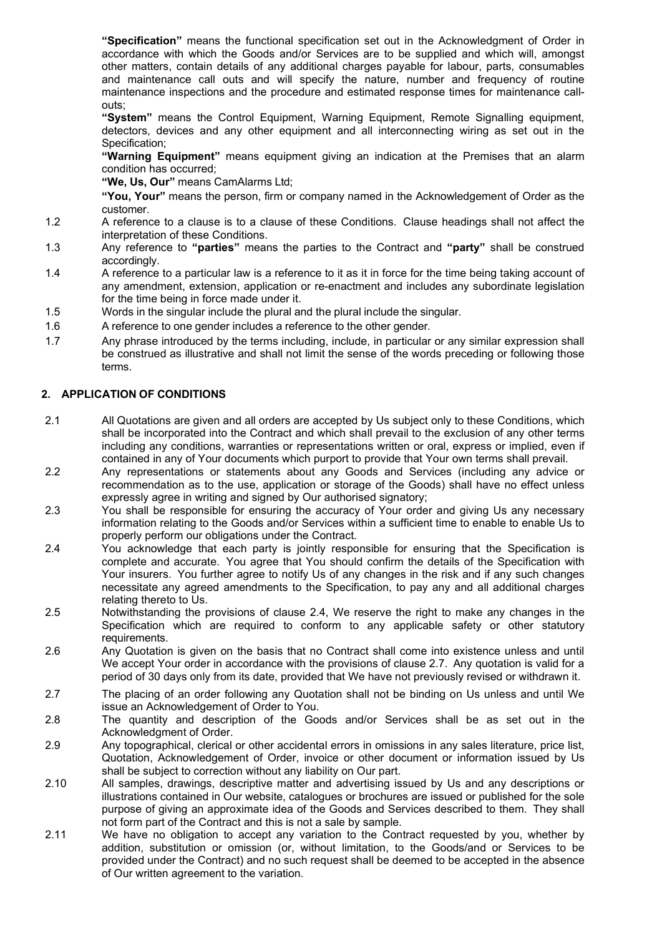"Specification" means the functional specification set out in the Acknowledgment of Order in accordance with which the Goods and/or Services are to be supplied and which will, amongst other matters, contain details of any additional charges payable for labour, parts, consumables and maintenance call outs and will specify the nature, number and frequency of routine maintenance inspections and the procedure and estimated response times for maintenance callouts;

"System" means the Control Equipment, Warning Equipment, Remote Signalling equipment, detectors, devices and any other equipment and all interconnecting wiring as set out in the Specification;

"Warning Equipment" means equipment giving an indication at the Premises that an alarm condition has occurred;

"We, Us, Our" means CamAlarms Ltd;

"You, Your" means the person, firm or company named in the Acknowledgement of Order as the customer.

- 1.2 A reference to a clause is to a clause of these Conditions. Clause headings shall not affect the interpretation of these Conditions.
- 1.3 Any reference to "**parties**" means the parties to the Contract and "**party**" shall be construed accordingly.
- 1.4 A reference to a particular law is a reference to it as it in force for the time being taking account of any amendment, extension, application or re-enactment and includes any subordinate legislation for the time being in force made under it.
- 1.5 Words in the singular include the plural and the plural include the singular.
- 1.6 A reference to one gender includes a reference to the other gender.
- 1.7 Any phrase introduced by the terms including, include, in particular or any similar expression shall be construed as illustrative and shall not limit the sense of the words preceding or following those terms.

## 2. APPLICATION OF CONDITIONS

- 2.1 All Quotations are given and all orders are accepted by Us subject only to these Conditions, which shall be incorporated into the Contract and which shall prevail to the exclusion of any other terms including any conditions, warranties or representations written or oral, express or implied, even if contained in any of Your documents which purport to provide that Your own terms shall prevail.
- 2.2 Any representations or statements about any Goods and Services (including any advice or recommendation as to the use, application or storage of the Goods) shall have no effect unless expressly agree in writing and signed by Our authorised signatory;
- 2.3 You shall be responsible for ensuring the accuracy of Your order and giving Us any necessary information relating to the Goods and/or Services within a sufficient time to enable to enable Us to properly perform our obligations under the Contract.
- 2.4 You acknowledge that each party is jointly responsible for ensuring that the Specification is complete and accurate. You agree that You should confirm the details of the Specification with Your insurers. You further agree to notify Us of any changes in the risk and if any such changes necessitate any agreed amendments to the Specification, to pay any and all additional charges relating thereto to Us.
- 2.5 Notwithstanding the provisions of clause 2.4, We reserve the right to make any changes in the Specification which are required to conform to any applicable safety or other statutory requirements.
- 2.6 Any Quotation is given on the basis that no Contract shall come into existence unless and until We accept Your order in accordance with the provisions of clause 2.7. Any quotation is valid for a period of 30 days only from its date, provided that We have not previously revised or withdrawn it.
- 2.7 The placing of an order following any Quotation shall not be binding on Us unless and until We issue an Acknowledgement of Order to You.
- 2.8 The quantity and description of the Goods and/or Services shall be as set out in the Acknowledgment of Order.
- 2.9 Any topographical, clerical or other accidental errors in omissions in any sales literature, price list, Quotation, Acknowledgement of Order, invoice or other document or information issued by Us shall be subject to correction without any liability on Our part.
- 2.10 All samples, drawings, descriptive matter and advertising issued by Us and any descriptions or illustrations contained in Our website, catalogues or brochures are issued or published for the sole purpose of giving an approximate idea of the Goods and Services described to them. They shall not form part of the Contract and this is not a sale by sample.
- 2.11 We have no obligation to accept any variation to the Contract requested by you, whether by addition, substitution or omission (or, without limitation, to the Goods/and or Services to be provided under the Contract) and no such request shall be deemed to be accepted in the absence of Our written agreement to the variation.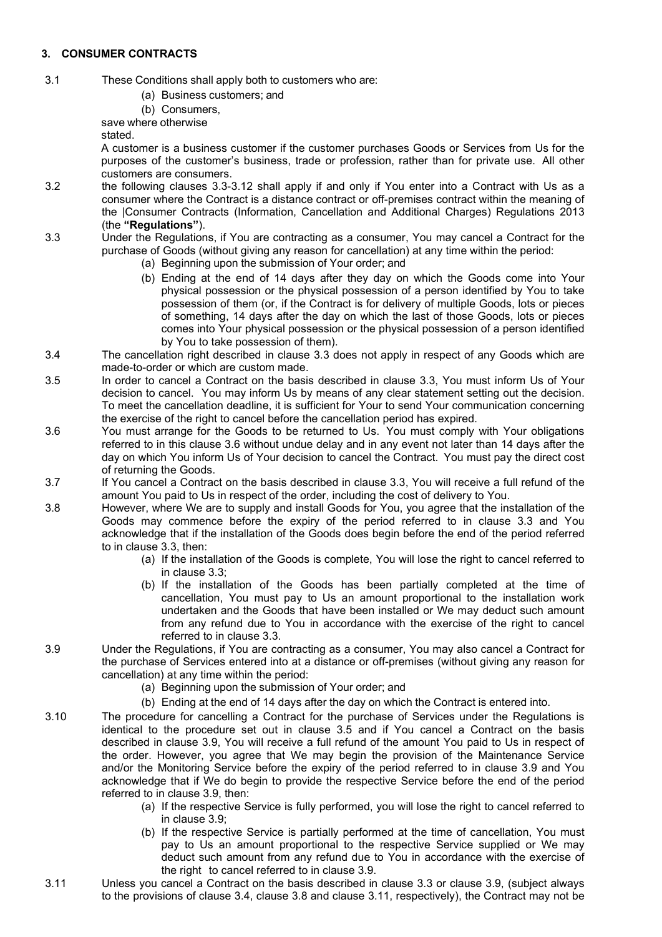# 3. CONSUMER CONTRACTS

- 3.1 These Conditions shall apply both to customers who are:
	- (a) Business customers; and
	- (b) Consumers,

save where otherwise

stated.

A customer is a business customer if the customer purchases Goods or Services from Us for the purposes of the customer's business, trade or profession, rather than for private use. All other customers are consumers.

- 3.2 the following clauses 3.3-3.12 shall apply if and only if You enter into a Contract with Us as a consumer where the Contract is a distance contract or off-premises contract within the meaning of the |Consumer Contracts (Information, Cancellation and Additional Charges) Regulations 2013 (the "Regulations").
- 3.3 Under the Regulations, if You are contracting as a consumer, You may cancel a Contract for the purchase of Goods (without giving any reason for cancellation) at any time within the period:
	- (a) Beginning upon the submission of Your order; and
	- (b) Ending at the end of 14 days after they day on which the Goods come into Your physical possession or the physical possession of a person identified by You to take possession of them (or, if the Contract is for delivery of multiple Goods, lots or pieces of something, 14 days after the day on which the last of those Goods, lots or pieces comes into Your physical possession or the physical possession of a person identified by You to take possession of them).
- 3.4 The cancellation right described in clause 3.3 does not apply in respect of any Goods which are made-to-order or which are custom made.
- 3.5 In order to cancel a Contract on the basis described in clause 3.3, You must inform Us of Your decision to cancel. You may inform Us by means of any clear statement setting out the decision. To meet the cancellation deadline, it is sufficient for Your to send Your communication concerning the exercise of the right to cancel before the cancellation period has expired.
- 3.6 You must arrange for the Goods to be returned to Us. You must comply with Your obligations referred to in this clause 3.6 without undue delay and in any event not later than 14 days after the day on which You inform Us of Your decision to cancel the Contract. You must pay the direct cost of returning the Goods.
- 3.7 If You cancel a Contract on the basis described in clause 3.3, You will receive a full refund of the amount You paid to Us in respect of the order, including the cost of delivery to You.
- 3.8 However, where We are to supply and install Goods for You, you agree that the installation of the Goods may commence before the expiry of the period referred to in clause 3.3 and You acknowledge that if the installation of the Goods does begin before the end of the period referred to in clause 3.3, then:
	- (a) If the installation of the Goods is complete, You will lose the right to cancel referred to in clause 3.3;
	- (b) If the installation of the Goods has been partially completed at the time of cancellation, You must pay to Us an amount proportional to the installation work undertaken and the Goods that have been installed or We may deduct such amount from any refund due to You in accordance with the exercise of the right to cancel referred to in clause 3.3.
- 3.9 Under the Regulations, if You are contracting as a consumer, You may also cancel a Contract for the purchase of Services entered into at a distance or off-premises (without giving any reason for cancellation) at any time within the period:
	- (a) Beginning upon the submission of Your order; and
	- (b) Ending at the end of 14 days after the day on which the Contract is entered into.
- 3.10 The procedure for cancelling a Contract for the purchase of Services under the Regulations is identical to the procedure set out in clause 3.5 and if You cancel a Contract on the basis described in clause 3.9, You will receive a full refund of the amount You paid to Us in respect of the order. However, you agree that We may begin the provision of the Maintenance Service and/or the Monitoring Service before the expiry of the period referred to in clause 3.9 and You acknowledge that if We do begin to provide the respective Service before the end of the period referred to in clause 3.9, then:
	- (a) If the respective Service is fully performed, you will lose the right to cancel referred to in clause 3.9;
	- (b) If the respective Service is partially performed at the time of cancellation, You must pay to Us an amount proportional to the respective Service supplied or We may deduct such amount from any refund due to You in accordance with the exercise of the right to cancel referred to in clause 3.9.
- 3.11 Unless you cancel a Contract on the basis described in clause 3.3 or clause 3.9, (subject always to the provisions of clause 3.4, clause 3.8 and clause 3.11, respectively), the Contract may not be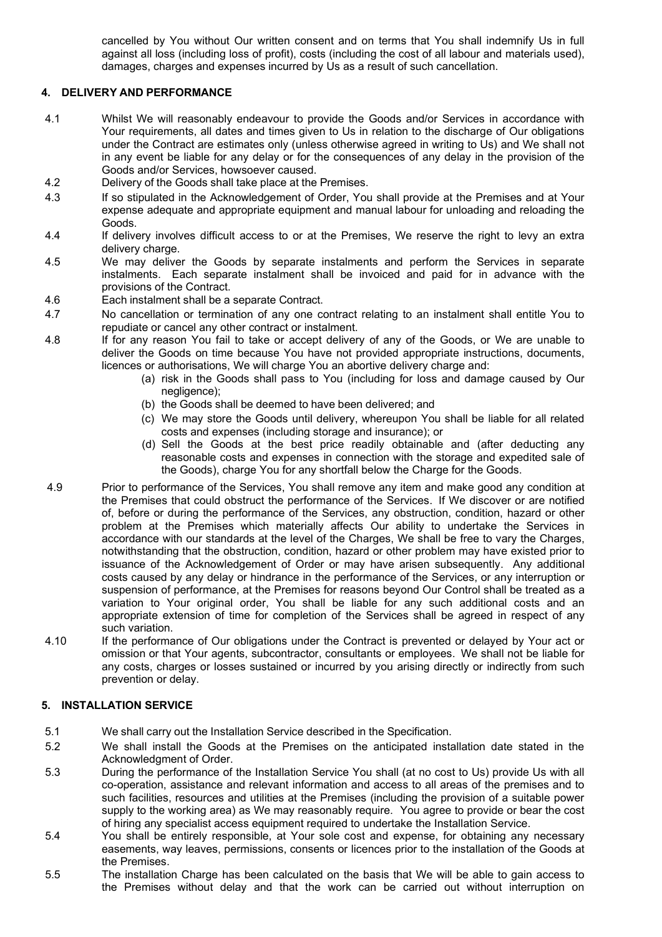cancelled by You without Our written consent and on terms that You shall indemnify Us in full against all loss (including loss of profit), costs (including the cost of all labour and materials used), damages, charges and expenses incurred by Us as a result of such cancellation.

# 4. DELIVERY AND PERFORMANCE

- 4.1 Whilst We will reasonably endeavour to provide the Goods and/or Services in accordance with Your requirements, all dates and times given to Us in relation to the discharge of Our obligations under the Contract are estimates only (unless otherwise agreed in writing to Us) and We shall not in any event be liable for any delay or for the consequences of any delay in the provision of the Goods and/or Services, howsoever caused.
- 4.2 Delivery of the Goods shall take place at the Premises.
- 4.3 If so stipulated in the Acknowledgement of Order, You shall provide at the Premises and at Your expense adequate and appropriate equipment and manual labour for unloading and reloading the Goods.
- 4.4 If delivery involves difficult access to or at the Premises, We reserve the right to levy an extra delivery charge.
- 4.5 We may deliver the Goods by separate instalments and perform the Services in separate instalments. Each separate instalment shall be invoiced and paid for in advance with the provisions of the Contract.
- 4.6 Each instalment shall be a separate Contract.
- 4.7 No cancellation or termination of any one contract relating to an instalment shall entitle You to repudiate or cancel any other contract or instalment.
- 4.8 If for any reason You fail to take or accept delivery of any of the Goods, or We are unable to deliver the Goods on time because You have not provided appropriate instructions, documents, licences or authorisations, We will charge You an abortive delivery charge and:
	- (a) risk in the Goods shall pass to You (including for loss and damage caused by Our negligence);
	- (b) the Goods shall be deemed to have been delivered; and
	- (c) We may store the Goods until delivery, whereupon You shall be liable for all related costs and expenses (including storage and insurance); or
	- (d) Sell the Goods at the best price readily obtainable and (after deducting any reasonable costs and expenses in connection with the storage and expedited sale of the Goods), charge You for any shortfall below the Charge for the Goods.
- 4.9 Prior to performance of the Services, You shall remove any item and make good any condition at the Premises that could obstruct the performance of the Services. If We discover or are notified of, before or during the performance of the Services, any obstruction, condition, hazard or other problem at the Premises which materially affects Our ability to undertake the Services in accordance with our standards at the level of the Charges, We shall be free to vary the Charges, notwithstanding that the obstruction, condition, hazard or other problem may have existed prior to issuance of the Acknowledgement of Order or may have arisen subsequently. Any additional costs caused by any delay or hindrance in the performance of the Services, or any interruption or suspension of performance, at the Premises for reasons beyond Our Control shall be treated as a variation to Your original order, You shall be liable for any such additional costs and an appropriate extension of time for completion of the Services shall be agreed in respect of any such variation.
- 4.10 If the performance of Our obligations under the Contract is prevented or delayed by Your act or omission or that Your agents, subcontractor, consultants or employees. We shall not be liable for any costs, charges or losses sustained or incurred by you arising directly or indirectly from such prevention or delay.

## 5. INSTALLATION SERVICE

- 5.1 We shall carry out the Installation Service described in the Specification.
- 5.2 We shall install the Goods at the Premises on the anticipated installation date stated in the Acknowledgment of Order.
- 5.3 During the performance of the Installation Service You shall (at no cost to Us) provide Us with all co-operation, assistance and relevant information and access to all areas of the premises and to such facilities, resources and utilities at the Premises (including the provision of a suitable power supply to the working area) as We may reasonably require. You agree to provide or bear the cost of hiring any specialist access equipment required to undertake the Installation Service.
- 5.4 You shall be entirely responsible, at Your sole cost and expense, for obtaining any necessary easements, way leaves, permissions, consents or licences prior to the installation of the Goods at the Premises.
- 5.5 The installation Charge has been calculated on the basis that We will be able to gain access to the Premises without delay and that the work can be carried out without interruption on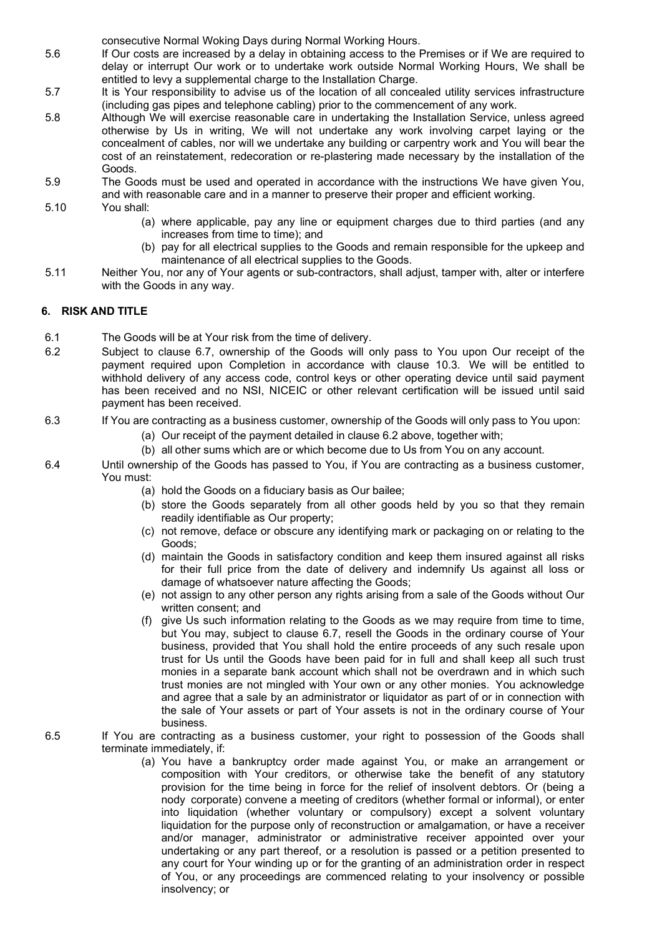consecutive Normal Woking Days during Normal Working Hours.

- 5.6 If Our costs are increased by a delay in obtaining access to the Premises or if We are required to delay or interrupt Our work or to undertake work outside Normal Working Hours, We shall be entitled to levy a supplemental charge to the Installation Charge.
- 5.7 It is Your responsibility to advise us of the location of all concealed utility services infrastructure (including gas pipes and telephone cabling) prior to the commencement of any work.
- 5.8 Although We will exercise reasonable care in undertaking the Installation Service, unless agreed otherwise by Us in writing, We will not undertake any work involving carpet laying or the concealment of cables, nor will we undertake any building or carpentry work and You will bear the cost of an reinstatement, redecoration or re-plastering made necessary by the installation of the Goods.
- 5.9 The Goods must be used and operated in accordance with the instructions We have given You, and with reasonable care and in a manner to preserve their proper and efficient working.
- 5.10 You shall:
	- (a) where applicable, pay any line or equipment charges due to third parties (and any increases from time to time); and
	- (b) pay for all electrical supplies to the Goods and remain responsible for the upkeep and maintenance of all electrical supplies to the Goods.
- 5.11 Neither You, nor any of Your agents or sub-contractors, shall adjust, tamper with, alter or interfere with the Goods in any way.

# 6. RISK AND TITLE

- 6.1 The Goods will be at Your risk from the time of delivery.
- 6.2 Subject to clause 6.7, ownership of the Goods will only pass to You upon Our receipt of the payment required upon Completion in accordance with clause 10.3. We will be entitled to withhold delivery of any access code, control keys or other operating device until said payment has been received and no NSI, NICEIC or other relevant certification will be issued until said payment has been received.
- 6.3 If You are contracting as a business customer, ownership of the Goods will only pass to You upon:
	- (a) Our receipt of the payment detailed in clause 6.2 above, together with;
	- (b) all other sums which are or which become due to Us from You on any account.
- 6.4 Until ownership of the Goods has passed to You, if You are contracting as a business customer, You must:
	- (a) hold the Goods on a fiduciary basis as Our bailee;
	- (b) store the Goods separately from all other goods held by you so that they remain readily identifiable as Our property;
	- (c) not remove, deface or obscure any identifying mark or packaging on or relating to the Goods;
	- (d) maintain the Goods in satisfactory condition and keep them insured against all risks for their full price from the date of delivery and indemnify Us against all loss or damage of whatsoever nature affecting the Goods;
	- (e) not assign to any other person any rights arising from a sale of the Goods without Our written consent; and
	- (f) give Us such information relating to the Goods as we may require from time to time, but You may, subject to clause 6.7, resell the Goods in the ordinary course of Your business, provided that You shall hold the entire proceeds of any such resale upon trust for Us until the Goods have been paid for in full and shall keep all such trust monies in a separate bank account which shall not be overdrawn and in which such trust monies are not mingled with Your own or any other monies. You acknowledge and agree that a sale by an administrator or liquidator as part of or in connection with the sale of Your assets or part of Your assets is not in the ordinary course of Your business.

## 6.5 If You are contracting as a business customer, your right to possession of the Goods shall terminate immediately, if:

(a) You have a bankruptcy order made against You, or make an arrangement or composition with Your creditors, or otherwise take the benefit of any statutory provision for the time being in force for the relief of insolvent debtors. Or (being a nody corporate) convene a meeting of creditors (whether formal or informal), or enter into liquidation (whether voluntary or compulsory) except a solvent voluntary liquidation for the purpose only of reconstruction or amalgamation, or have a receiver and/or manager, administrator or administrative receiver appointed over your undertaking or any part thereof, or a resolution is passed or a petition presented to any court for Your winding up or for the granting of an administration order in respect of You, or any proceedings are commenced relating to your insolvency or possible insolvency; or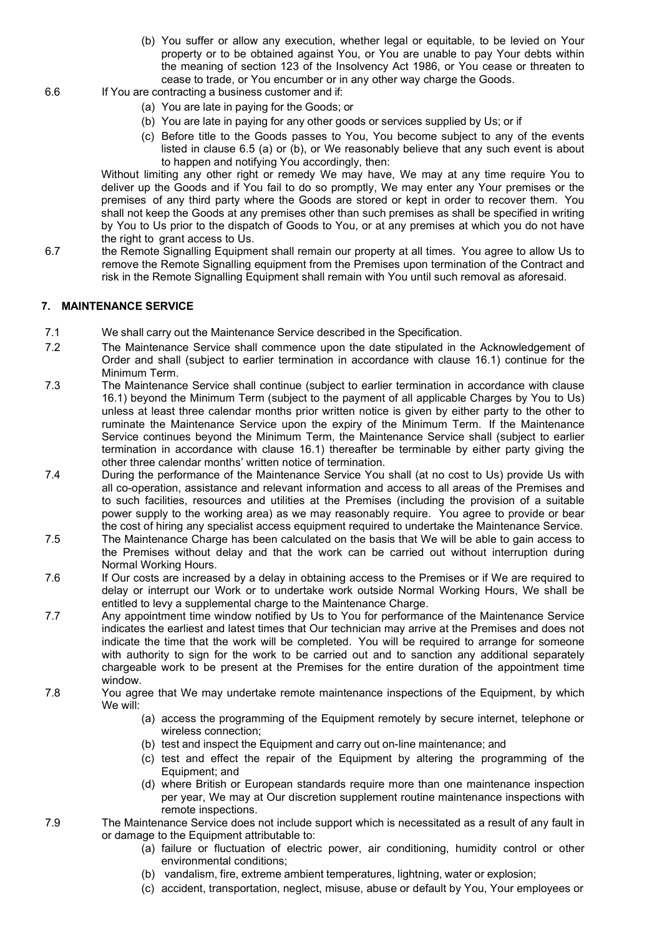- (b) You suffer or allow any execution, whether legal or equitable, to be levied on Your property or to be obtained against You, or You are unable to pay Your debts within the meaning of section 123 of the Insolvency Act 1986, or You cease or threaten to cease to trade, or You encumber or in any other way charge the Goods.
- 6.6 If You are contracting a business customer and if:
	- (a) You are late in paying for the Goods; or
	- (b) You are late in paying for any other goods or services supplied by Us; or if
	- (c) Before title to the Goods passes to You, You become subject to any of the events listed in clause 6.5 (a) or (b), or We reasonably believe that any such event is about to happen and notifying You accordingly, then:

Without limiting any other right or remedy We may have, We may at any time require You to deliver up the Goods and if You fail to do so promptly, We may enter any Your premises or the premises of any third party where the Goods are stored or kept in order to recover them. You shall not keep the Goods at any premises other than such premises as shall be specified in writing by You to Us prior to the dispatch of Goods to You, or at any premises at which you do not have the right to grant access to Us.

6.7 the Remote Signalling Equipment shall remain our property at all times. You agree to allow Us to remove the Remote Signalling equipment from the Premises upon termination of the Contract and risk in the Remote Signalling Equipment shall remain with You until such removal as aforesaid.

## 7. MAINTENANCE SERVICE

- 7.1 We shall carry out the Maintenance Service described in the Specification.
- 7.2 The Maintenance Service shall commence upon the date stipulated in the Acknowledgement of Order and shall (subject to earlier termination in accordance with clause 16.1) continue for the Minimum Term.
- 7.3 The Maintenance Service shall continue (subject to earlier termination in accordance with clause 16.1) beyond the Minimum Term (subject to the payment of all applicable Charges by You to Us) unless at least three calendar months prior written notice is given by either party to the other to ruminate the Maintenance Service upon the expiry of the Minimum Term. If the Maintenance Service continues beyond the Minimum Term, the Maintenance Service shall (subject to earlier termination in accordance with clause 16.1) thereafter be terminable by either party giving the other three calendar months' written notice of termination.
- 7.4 During the performance of the Maintenance Service You shall (at no cost to Us) provide Us with all co-operation, assistance and relevant information and access to all areas of the Premises and to such facilities, resources and utilities at the Premises (including the provision of a suitable power supply to the working area) as we may reasonably require. You agree to provide or bear the cost of hiring any specialist access equipment required to undertake the Maintenance Service.
- 7.5 The Maintenance Charge has been calculated on the basis that We will be able to gain access to the Premises without delay and that the work can be carried out without interruption during Normal Working Hours.
- 7.6 If Our costs are increased by a delay in obtaining access to the Premises or if We are required to delay or interrupt our Work or to undertake work outside Normal Working Hours, We shall be entitled to levy a supplemental charge to the Maintenance Charge.
- 7.7 Any appointment time window notified by Us to You for performance of the Maintenance Service indicates the earliest and latest times that Our technician may arrive at the Premises and does not indicate the time that the work will be completed. You will be required to arrange for someone with authority to sign for the work to be carried out and to sanction any additional separately chargeable work to be present at the Premises for the entire duration of the appointment time window.
- 7.8 You agree that We may undertake remote maintenance inspections of the Equipment, by which We will:
	- (a) access the programming of the Equipment remotely by secure internet, telephone or wireless connection;
	- (b) test and inspect the Equipment and carry out on-line maintenance; and
	- (c) test and effect the repair of the Equipment by altering the programming of the Equipment; and
	- (d) where British or European standards require more than one maintenance inspection per year, We may at Our discretion supplement routine maintenance inspections with remote inspections.
- 7.9 The Maintenance Service does not include support which is necessitated as a result of any fault in or damage to the Equipment attributable to:
	- (a) failure or fluctuation of electric power, air conditioning, humidity control or other environmental conditions;
	- (b) vandalism, fire, extreme ambient temperatures, lightning, water or explosion;
	- (c) accident, transportation, neglect, misuse, abuse or default by You, Your employees or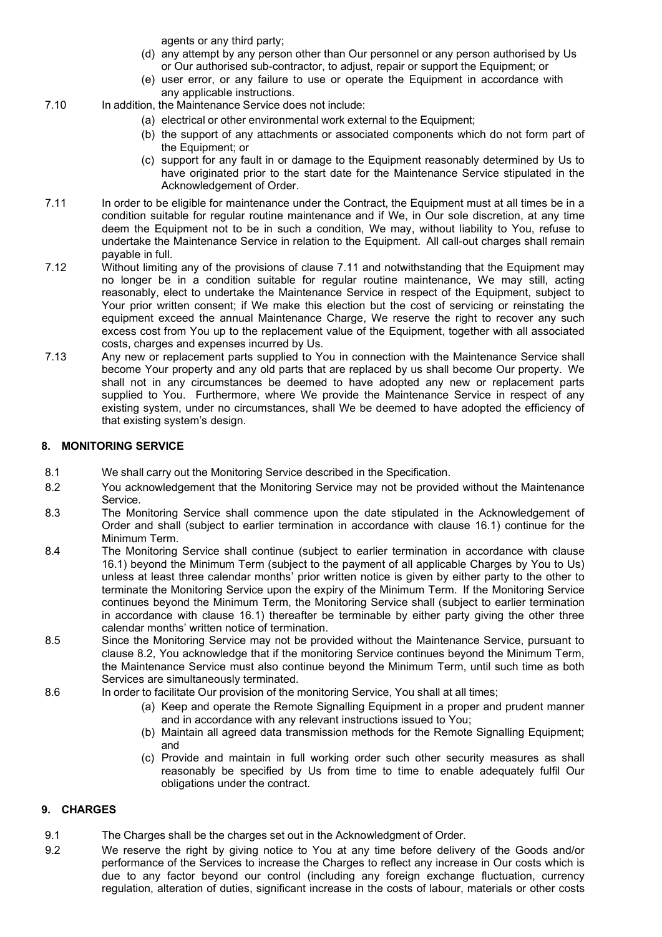agents or any third party;

- (d) any attempt by any person other than Our personnel or any person authorised by Us or Our authorised sub-contractor, to adjust, repair or support the Equipment; or
- (e) user error, or any failure to use or operate the Equipment in accordance with any applicable instructions.
- 7.10 In addition, the Maintenance Service does not include:
	- (a) electrical or other environmental work external to the Equipment;
	- (b) the support of any attachments or associated components which do not form part of the Equipment; or
	- (c) support for any fault in or damage to the Equipment reasonably determined by Us to have originated prior to the start date for the Maintenance Service stipulated in the Acknowledgement of Order.
- 7.11 In order to be eligible for maintenance under the Contract, the Equipment must at all times be in a condition suitable for regular routine maintenance and if We, in Our sole discretion, at any time deem the Equipment not to be in such a condition, We may, without liability to You, refuse to undertake the Maintenance Service in relation to the Equipment. All call-out charges shall remain payable in full.
- 7.12 Without limiting any of the provisions of clause 7.11 and notwithstanding that the Equipment may no longer be in a condition suitable for regular routine maintenance, We may still, acting reasonably, elect to undertake the Maintenance Service in respect of the Equipment, subject to Your prior written consent; if We make this election but the cost of servicing or reinstating the equipment exceed the annual Maintenance Charge, We reserve the right to recover any such excess cost from You up to the replacement value of the Equipment, together with all associated costs, charges and expenses incurred by Us.
- 7.13 Any new or replacement parts supplied to You in connection with the Maintenance Service shall become Your property and any old parts that are replaced by us shall become Our property. We shall not in any circumstances be deemed to have adopted any new or replacement parts supplied to You. Furthermore, where We provide the Maintenance Service in respect of any existing system, under no circumstances, shall We be deemed to have adopted the efficiency of that existing system's design.

# 8. MONITORING SERVICE

- 8.1 We shall carry out the Monitoring Service described in the Specification.
- 8.2 You acknowledgement that the Monitoring Service may not be provided without the Maintenance Service.
- 8.3 The Monitoring Service shall commence upon the date stipulated in the Acknowledgement of Order and shall (subject to earlier termination in accordance with clause 16.1) continue for the Minimum Term.
- 8.4 The Monitoring Service shall continue (subject to earlier termination in accordance with clause 16.1) beyond the Minimum Term (subject to the payment of all applicable Charges by You to Us) unless at least three calendar months' prior written notice is given by either party to the other to terminate the Monitoring Service upon the expiry of the Minimum Term. If the Monitoring Service continues beyond the Minimum Term, the Monitoring Service shall (subject to earlier termination in accordance with clause 16.1) thereafter be terminable by either party giving the other three calendar months' written notice of termination.
- 8.5 Since the Monitoring Service may not be provided without the Maintenance Service, pursuant to clause 8.2, You acknowledge that if the monitoring Service continues beyond the Minimum Term, the Maintenance Service must also continue beyond the Minimum Term, until such time as both Services are simultaneously terminated.
- 8.6 In order to facilitate Our provision of the monitoring Service, You shall at all times;
	- (a) Keep and operate the Remote Signalling Equipment in a proper and prudent manner and in accordance with any relevant instructions issued to You;
	- (b) Maintain all agreed data transmission methods for the Remote Signalling Equipment; and
	- (c) Provide and maintain in full working order such other security measures as shall reasonably be specified by Us from time to time to enable adequately fulfil Our obligations under the contract.

# 9. CHARGES

- 9.1 The Charges shall be the charges set out in the Acknowledgment of Order.
- 9.2 We reserve the right by giving notice to You at any time before delivery of the Goods and/or performance of the Services to increase the Charges to reflect any increase in Our costs which is due to any factor beyond our control (including any foreign exchange fluctuation, currency regulation, alteration of duties, significant increase in the costs of labour, materials or other costs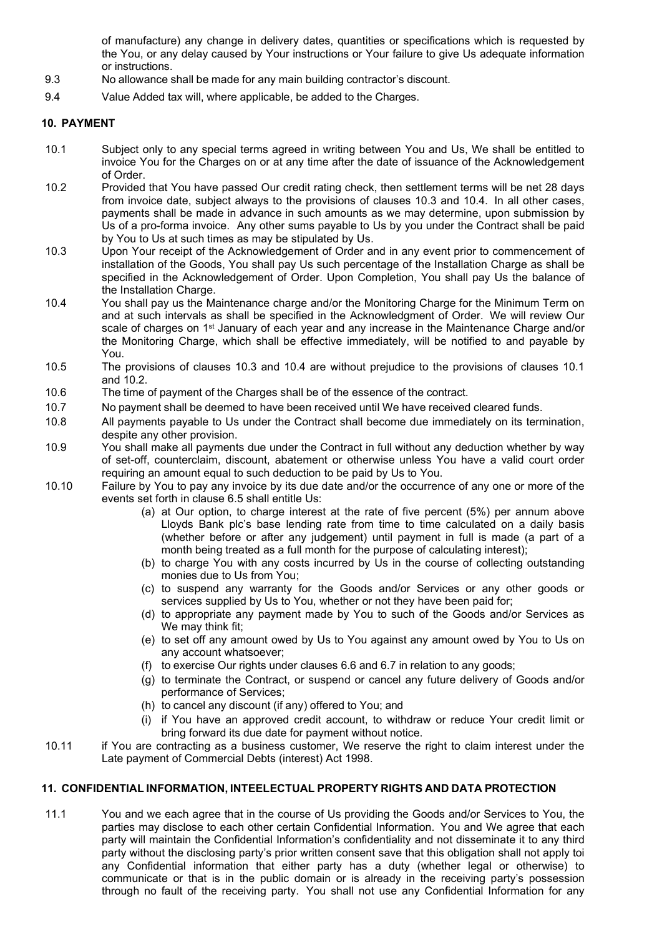of manufacture) any change in delivery dates, quantities or specifications which is requested by the You, or any delay caused by Your instructions or Your failure to give Us adequate information or instructions.

- 9.3 No allowance shall be made for any main building contractor's discount.
- 9.4 Value Added tax will, where applicable, be added to the Charges.

## 10. PAYMENT

- 10.1 Subject only to any special terms agreed in writing between You and Us, We shall be entitled to invoice You for the Charges on or at any time after the date of issuance of the Acknowledgement of Order.
- 10.2 Provided that You have passed Our credit rating check, then settlement terms will be net 28 days from invoice date, subject always to the provisions of clauses 10.3 and 10.4. In all other cases, payments shall be made in advance in such amounts as we may determine, upon submission by Us of a pro-forma invoice. Any other sums payable to Us by you under the Contract shall be paid by You to Us at such times as may be stipulated by Us.
- 10.3 Upon Your receipt of the Acknowledgement of Order and in any event prior to commencement of installation of the Goods, You shall pay Us such percentage of the Installation Charge as shall be specified in the Acknowledgement of Order. Upon Completion, You shall pay Us the balance of the Installation Charge.
- 10.4 You shall pay us the Maintenance charge and/or the Monitoring Charge for the Minimum Term on and at such intervals as shall be specified in the Acknowledgment of Order. We will review Our scale of charges on 1<sup>st</sup> January of each year and any increase in the Maintenance Charge and/or the Monitoring Charge, which shall be effective immediately, will be notified to and payable by You.
- 10.5 The provisions of clauses 10.3 and 10.4 are without prejudice to the provisions of clauses 10.1 and 10.2.
- 10.6 The time of payment of the Charges shall be of the essence of the contract.
- 10.7 No payment shall be deemed to have been received until We have received cleared funds.
- 10.8 All payments payable to Us under the Contract shall become due immediately on its termination, despite any other provision.
- 10.9 You shall make all payments due under the Contract in full without any deduction whether by way of set-off, counterclaim, discount, abatement or otherwise unless You have a valid court order requiring an amount equal to such deduction to be paid by Us to You.
- 10.10 Failure by You to pay any invoice by its due date and/or the occurrence of any one or more of the events set forth in clause 6.5 shall entitle Us:
	- (a) at Our option, to charge interest at the rate of five percent (5%) per annum above Lloyds Bank plc's base lending rate from time to time calculated on a daily basis (whether before or after any judgement) until payment in full is made (a part of a month being treated as a full month for the purpose of calculating interest);
	- (b) to charge You with any costs incurred by Us in the course of collecting outstanding monies due to Us from You;
	- (c) to suspend any warranty for the Goods and/or Services or any other goods or services supplied by Us to You, whether or not they have been paid for;
	- (d) to appropriate any payment made by You to such of the Goods and/or Services as We may think fit;
	- (e) to set off any amount owed by Us to You against any amount owed by You to Us on any account whatsoever;
	- (f) to exercise Our rights under clauses 6.6 and 6.7 in relation to any goods;
	- (g) to terminate the Contract, or suspend or cancel any future delivery of Goods and/or performance of Services;
	- (h) to cancel any discount (if any) offered to You; and
	- (i) if You have an approved credit account, to withdraw or reduce Your credit limit or bring forward its due date for payment without notice.
- 10.11 if You are contracting as a business customer, We reserve the right to claim interest under the Late payment of Commercial Debts (interest) Act 1998.

# 11. CONFIDENTIAL INFORMATION, INTEELECTUAL PROPERTY RIGHTS AND DATA PROTECTION

11.1 You and we each agree that in the course of Us providing the Goods and/or Services to You, the parties may disclose to each other certain Confidential Information. You and We agree that each party will maintain the Confidential Information's confidentiality and not disseminate it to any third party without the disclosing party's prior written consent save that this obligation shall not apply toi any Confidential information that either party has a duty (whether legal or otherwise) to communicate or that is in the public domain or is already in the receiving party's possession through no fault of the receiving party. You shall not use any Confidential Information for any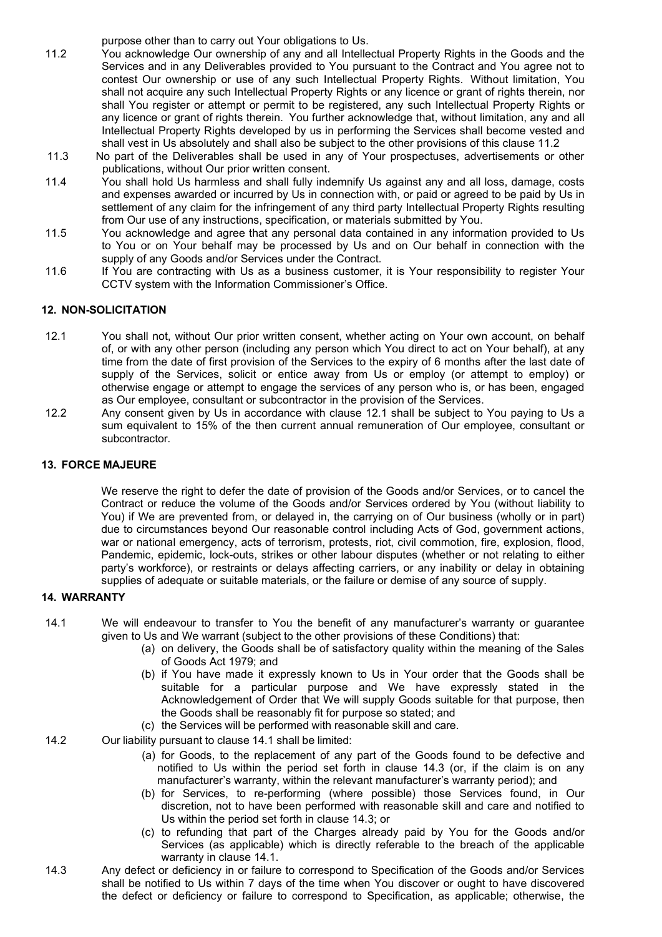purpose other than to carry out Your obligations to Us.

- 11.2 You acknowledge Our ownership of any and all Intellectual Property Rights in the Goods and the Services and in any Deliverables provided to You pursuant to the Contract and You agree not to contest Our ownership or use of any such Intellectual Property Rights. Without limitation, You shall not acquire any such Intellectual Property Rights or any licence or grant of rights therein, nor shall You register or attempt or permit to be registered, any such Intellectual Property Rights or any licence or grant of rights therein. You further acknowledge that, without limitation, any and all Intellectual Property Rights developed by us in performing the Services shall become vested and shall vest in Us absolutely and shall also be subject to the other provisions of this clause 11.2
- 11.3 No part of the Deliverables shall be used in any of Your prospectuses, advertisements or other publications, without Our prior written consent.
- 11.4 You shall hold Us harmless and shall fully indemnify Us against any and all loss, damage, costs and expenses awarded or incurred by Us in connection with, or paid or agreed to be paid by Us in settlement of any claim for the infringement of any third party Intellectual Property Rights resulting from Our use of any instructions, specification, or materials submitted by You.
- 11.5 You acknowledge and agree that any personal data contained in any information provided to Us to You or on Your behalf may be processed by Us and on Our behalf in connection with the supply of any Goods and/or Services under the Contract.
- 11.6 If You are contracting with Us as a business customer, it is Your responsibility to register Your CCTV system with the Information Commissioner's Office.

## 12. NON-SOLICITATION

- 12.1 You shall not, without Our prior written consent, whether acting on Your own account, on behalf of, or with any other person (including any person which You direct to act on Your behalf), at any time from the date of first provision of the Services to the expiry of 6 months after the last date of supply of the Services, solicit or entice away from Us or employ (or attempt to employ) or otherwise engage or attempt to engage the services of any person who is, or has been, engaged as Our employee, consultant or subcontractor in the provision of the Services.
- 12.2 Any consent given by Us in accordance with clause 12.1 shall be subject to You paying to Us a sum equivalent to 15% of the then current annual remuneration of Our employee, consultant or subcontractor.

## 13. FORCE MAJEURE

We reserve the right to defer the date of provision of the Goods and/or Services, or to cancel the Contract or reduce the volume of the Goods and/or Services ordered by You (without liability to You) if We are prevented from, or delayed in, the carrying on of Our business (wholly or in part) due to circumstances beyond Our reasonable control including Acts of God, government actions, war or national emergency, acts of terrorism, protests, riot, civil commotion, fire, explosion, flood, Pandemic, epidemic, lock-outs, strikes or other labour disputes (whether or not relating to either party's workforce), or restraints or delays affecting carriers, or any inability or delay in obtaining supplies of adequate or suitable materials, or the failure or demise of any source of supply.

## 14. WARRANTY

- 14.1 We will endeavour to transfer to You the benefit of any manufacturer's warranty or guarantee given to Us and We warrant (subject to the other provisions of these Conditions) that:
	- (a) on delivery, the Goods shall be of satisfactory quality within the meaning of the Sales of Goods Act 1979; and
	- (b) if You have made it expressly known to Us in Your order that the Goods shall be suitable for a particular purpose and We have expressly stated in the Acknowledgement of Order that We will supply Goods suitable for that purpose, then the Goods shall be reasonably fit for purpose so stated; and
	- (c) the Services will be performed with reasonable skill and care.
- 14.2 Our liability pursuant to clause 14.1 shall be limited:
	- (a) for Goods, to the replacement of any part of the Goods found to be defective and notified to Us within the period set forth in clause 14.3 (or, if the claim is on any manufacturer's warranty, within the relevant manufacturer's warranty period); and
	- (b) for Services, to re-performing (where possible) those Services found, in Our discretion, not to have been performed with reasonable skill and care and notified to Us within the period set forth in clause 14.3; or
	- (c) to refunding that part of the Charges already paid by You for the Goods and/or Services (as applicable) which is directly referable to the breach of the applicable warranty in clause 14.1.
- 14.3 Any defect or deficiency in or failure to correspond to Specification of the Goods and/or Services shall be notified to Us within 7 days of the time when You discover or ought to have discovered the defect or deficiency or failure to correspond to Specification, as applicable; otherwise, the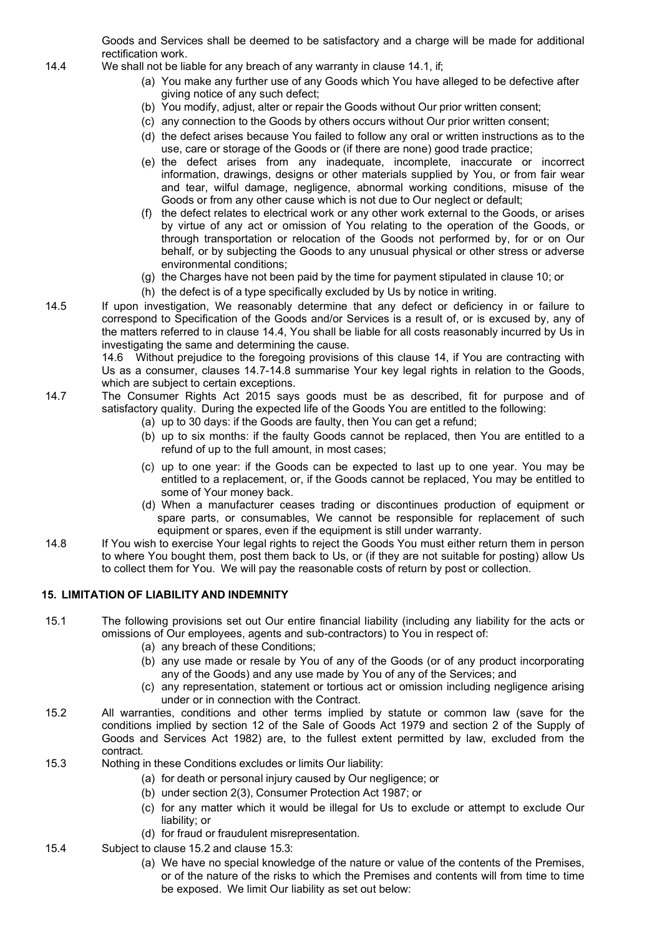Goods and Services shall be deemed to be satisfactory and a charge will be made for additional rectification work.

- 14.4 We shall not be liable for any breach of any warranty in clause 14.1, if;
	- (a) You make any further use of any Goods which You have alleged to be defective after giving notice of any such defect;
	- (b) You modify, adjust, alter or repair the Goods without Our prior written consent;
	- (c) any connection to the Goods by others occurs without Our prior written consent;
	- (d) the defect arises because You failed to follow any oral or written instructions as to the use, care or storage of the Goods or (if there are none) good trade practice;
	- (e) the defect arises from any inadequate, incomplete, inaccurate or incorrect information, drawings, designs or other materials supplied by You, or from fair wear and tear, wilful damage, negligence, abnormal working conditions, misuse of the Goods or from any other cause which is not due to Our neglect or default;
	- (f) the defect relates to electrical work or any other work external to the Goods, or arises by virtue of any act or omission of You relating to the operation of the Goods, or through transportation or relocation of the Goods not performed by, for or on Our behalf, or by subjecting the Goods to any unusual physical or other stress or adverse environmental conditions;
	- (g) the Charges have not been paid by the time for payment stipulated in clause 10; or
	- (h) the defect is of a type specifically excluded by Us by notice in writing.
- 14.5 If upon investigation, We reasonably determine that any defect or deficiency in or failure to correspond to Specification of the Goods and/or Services is a result of, or is excused by, any of the matters referred to in clause 14.4, You shall be liable for all costs reasonably incurred by Us in investigating the same and determining the cause.

14.6 Without prejudice to the foregoing provisions of this clause 14, if You are contracting with Us as a consumer, clauses 14.7-14.8 summarise Your key legal rights in relation to the Goods, which are subject to certain exceptions.

- 14.7 The Consumer Rights Act 2015 says goods must be as described, fit for purpose and of satisfactory quality. During the expected life of the Goods You are entitled to the following:
	- (a) up to 30 days: if the Goods are faulty, then You can get a refund;
	- (b) up to six months: if the faulty Goods cannot be replaced, then You are entitled to a refund of up to the full amount, in most cases;
	- (c) up to one year: if the Goods can be expected to last up to one year. You may be entitled to a replacement, or, if the Goods cannot be replaced, You may be entitled to some of Your money back.
	- (d) When a manufacturer ceases trading or discontinues production of equipment or spare parts, or consumables, We cannot be responsible for replacement of such equipment or spares, even if the equipment is still under warranty.
- 14.8 If You wish to exercise Your legal rights to reject the Goods You must either return them in person to where You bought them, post them back to Us, or (if they are not suitable for posting) allow Us to collect them for You. We will pay the reasonable costs of return by post or collection.

## 15. LIMITATION OF LIABILITY AND INDEMNITY

- 15.1 The following provisions set out Our entire financial liability (including any liability for the acts or omissions of Our employees, agents and sub-contractors) to You in respect of:
	- (a) any breach of these Conditions;
	- (b) any use made or resale by You of any of the Goods (or of any product incorporating any of the Goods) and any use made by You of any of the Services; and
	- (c) any representation, statement or tortious act or omission including negligence arising under or in connection with the Contract.
- 15.2 All warranties, conditions and other terms implied by statute or common law (save for the conditions implied by section 12 of the Sale of Goods Act 1979 and section 2 of the Supply of Goods and Services Act 1982) are, to the fullest extent permitted by law, excluded from the contract.
- 15.3 Nothing in these Conditions excludes or limits Our liability:
	- (a) for death or personal injury caused by Our negligence; or
	- (b) under section 2(3), Consumer Protection Act 1987; or
	- (c) for any matter which it would be illegal for Us to exclude or attempt to exclude Our liability; or
	- (d) for fraud or fraudulent misrepresentation.
- 15.4 Subject to clause 15.2 and clause 15.3:
	- (a) We have no special knowledge of the nature or value of the contents of the Premises, or of the nature of the risks to which the Premises and contents will from time to time be exposed. We limit Our liability as set out below: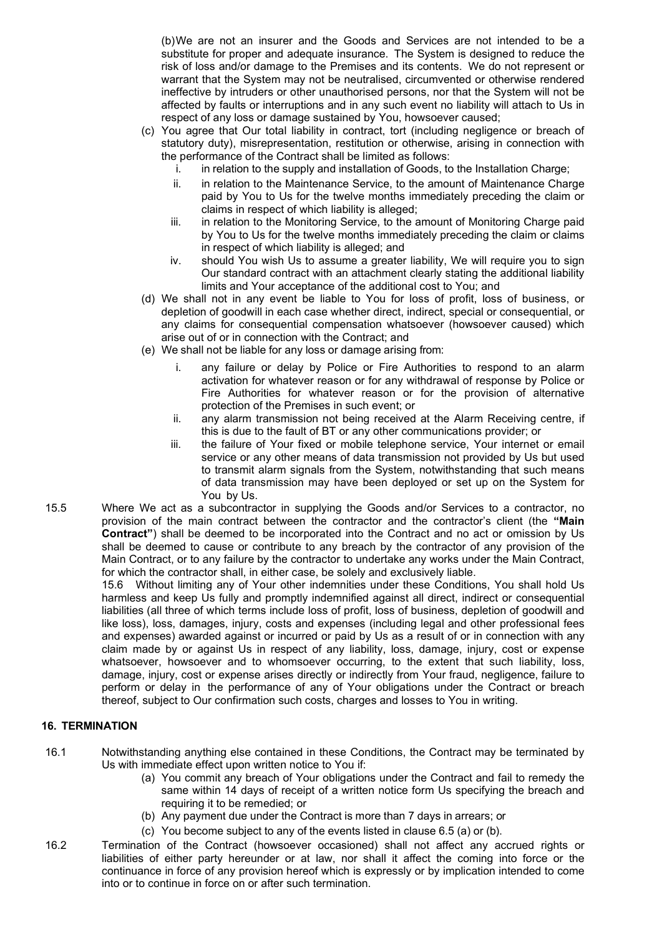(b) We are not an insurer and the Goods and Services are not intended to be a substitute for proper and adequate insurance. The System is designed to reduce the risk of loss and/or damage to the Premises and its contents. We do not represent or warrant that the System may not be neutralised, circumvented or otherwise rendered ineffective by intruders or other unauthorised persons, nor that the System will not be affected by faults or interruptions and in any such event no liability will attach to Us in respect of any loss or damage sustained by You, howsoever caused;

- (c) You agree that Our total liability in contract, tort (including negligence or breach of statutory duty), misrepresentation, restitution or otherwise, arising in connection with the performance of the Contract shall be limited as follows:
	- i. in relation to the supply and installation of Goods, to the Installation Charge;
	- ii. in relation to the Maintenance Service, to the amount of Maintenance Charge paid by You to Us for the twelve months immediately preceding the claim or claims in respect of which liability is alleged;
	- iii. in relation to the Monitoring Service, to the amount of Monitoring Charge paid by You to Us for the twelve months immediately preceding the claim or claims in respect of which liability is alleged; and
	- iv. should You wish Us to assume a greater liability, We will require you to sign Our standard contract with an attachment clearly stating the additional liability limits and Your acceptance of the additional cost to You; and
- (d) We shall not in any event be liable to You for loss of profit, loss of business, or depletion of goodwill in each case whether direct, indirect, special or consequential, or any claims for consequential compensation whatsoever (howsoever caused) which arise out of or in connection with the Contract; and
- (e) We shall not be liable for any loss or damage arising from:
	- i. any failure or delay by Police or Fire Authorities to respond to an alarm activation for whatever reason or for any withdrawal of response by Police or Fire Authorities for whatever reason or for the provision of alternative protection of the Premises in such event; or
	- ii. any alarm transmission not being received at the Alarm Receiving centre, if this is due to the fault of BT or any other communications provider; or
	- iii. the failure of Your fixed or mobile telephone service, Your internet or email service or any other means of data transmission not provided by Us but used to transmit alarm signals from the System, notwithstanding that such means of data transmission may have been deployed or set up on the System for You by Us.
- 15.5 Where We act as a subcontractor in supplying the Goods and/or Services to a contractor, no provision of the main contract between the contractor and the contractor's client (the "Main Contract") shall be deemed to be incorporated into the Contract and no act or omission by Us shall be deemed to cause or contribute to any breach by the contractor of any provision of the Main Contract, or to any failure by the contractor to undertake any works under the Main Contract, for which the contractor shall, in either case, be solely and exclusively liable.

15.6 Without limiting any of Your other indemnities under these Conditions, You shall hold Us harmless and keep Us fully and promptly indemnified against all direct, indirect or consequential liabilities (all three of which terms include loss of profit, loss of business, depletion of goodwill and like loss), loss, damages, injury, costs and expenses (including legal and other professional fees and expenses) awarded against or incurred or paid by Us as a result of or in connection with any claim made by or against Us in respect of any liability, loss, damage, injury, cost or expense whatsoever, howsoever and to whomsoever occurring, to the extent that such liability, loss, damage, injury, cost or expense arises directly or indirectly from Your fraud, negligence, failure to perform or delay in the performance of any of Your obligations under the Contract or breach thereof, subject to Our confirmation such costs, charges and losses to You in writing.

# 16. TERMINATION

- 16.1 Notwithstanding anything else contained in these Conditions, the Contract may be terminated by Us with immediate effect upon written notice to You if:
	- (a) You commit any breach of Your obligations under the Contract and fail to remedy the same within 14 days of receipt of a written notice form Us specifying the breach and requiring it to be remedied; or
	- (b) Any payment due under the Contract is more than 7 days in arrears; or
	- (c) You become subject to any of the events listed in clause 6.5 (a) or (b).
- 16.2 Termination of the Contract (howsoever occasioned) shall not affect any accrued rights or liabilities of either party hereunder or at law, nor shall it affect the coming into force or the continuance in force of any provision hereof which is expressly or by implication intended to come into or to continue in force on or after such termination.